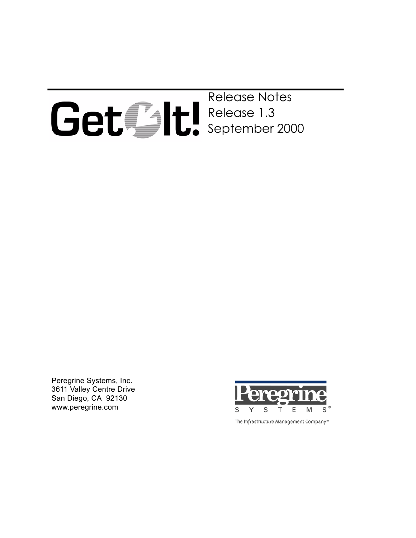

Release Notes Release 1.3 September 2000

Peregrine Systems, Inc. 3611 Valley Centre Drive San Diego, CA 92130 www.peregrine.com



The Infrastructure Management Company™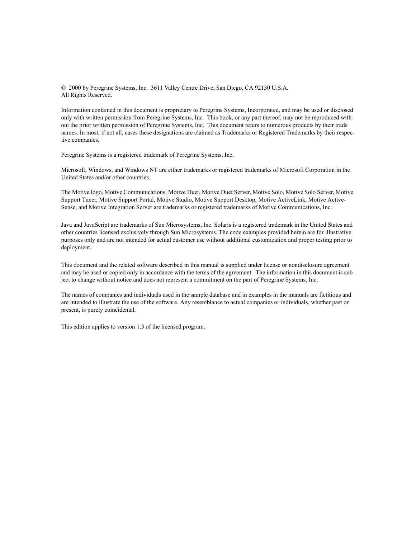© 2000 by Peregrine Systems, Inc. 3611 Valley Centre Drive, San Diego, CA 92130 U.S.A. All Rights Reserved.

Information contained in this document is proprietary to Peregrine Systems, Incorporated, and may be used or disclosed only with written permission from Peregrine Systems, Inc. This book, or any part thereof, may not be reproduced without the prior written permission of Peregrine Systems, Inc. This document refers to numerous products by their trade names. In most, if not all, cases these designations are claimed as Trademarks or Registered Trademarks by their respective companies.

Peregrine Systems is a registered trademark of Peregrine Systems, Inc.

Microsoft, Windows, and Windows NT are either trademarks or registered trademarks of Microsoft Corporation in the United States and/or other countries.

The Motive logo, Motive Communications, Motive Duet, Motive Duet Server, Motive Solo, Motive Solo Server, Motive Support Tuner, Motive Support Portal, Motive Studio, Motive Support Desktop, Motive ActiveLink, Motive Active-Sense, and Motive Integration Server are trademarks or registered trademarks of Motive Communications, Inc.

Java and JavaScript are trademarks of Sun Microsystems, Inc. Solaris is a registered trademark in the United States and other countries licensed exclusively through Sun Microsystems. The code examples provided herein are for illustrative purposes only and are not intended for actual customer use without additional customization and proper testing prior to deployment.

This document and the related software described in this manual is supplied under license or nondisclosure agreement and may be used or copied only in accordance with the terms of the agreement. The information in this document is subject to change without notice and does not represent a commitment on the part of Peregrine Systems, Inc.

The names of companies and individuals used in the sample database and in examples in the manuals are fictitious and are intended to illustrate the use of the software. Any resemblance to actual companies or individuals, whether past or present, is purely coincidental.

This edition applies to version 1.3 of the licensed program.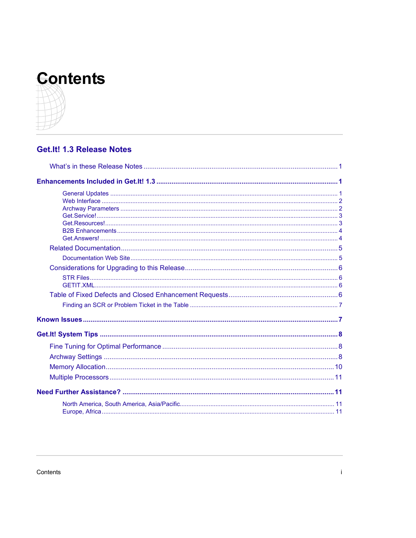

# Get.It! 1.3 Release Notes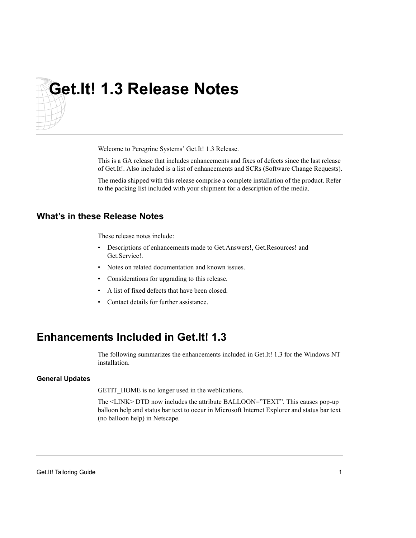# <span id="page-4-0"></span>**Get.It! 1.3 Release Notes**

Welcome to Peregrine Systems' Get.It! 1.3 Release.

This is a GA release that includes enhancements and fixes of defects since the last release of Get.It!. Also included is a list of enhancements and SCRs (Software Change Requests).

The media shipped with this release comprise a complete installation of the product. Refer to the packing list included with your shipment for a description of the media.

# **What's in these Release Notes**

These release notes include:

- Descriptions of enhancements made to Get.Answers!, Get.Resources! and Get.Service!.
- Notes on related documentation and known issues.
- Considerations for upgrading to this release.
- A list of fixed defects that have been closed.
- Contact details for further assistance.

# **Enhancements Included in Get.It! 1.3**

The following summarizes the enhancements included in Get.It! 1.3 for the Windows NT installation.

#### **General Updates**

GETIT\_HOME is no longer used in the weblications.

The <LINK> DTD now includes the attribute BALLOON="TEXT". This causes pop-up balloon help and status bar text to occur in Microsoft Internet Explorer and status bar text (no balloon help) in Netscape.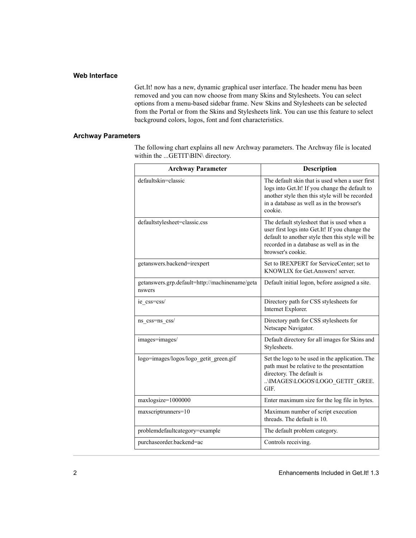#### <span id="page-5-0"></span>**Web Interface**

Get.It! now has a new, dynamic graphical user interface. The header menu has been removed and you can now choose from many Skins and Stylesheets. You can select options from a menu-based sidebar frame. New Skins and Stylesheets can be selected from the Portal or from the Skins and Stylesheets link. You can use this feature to select background colors, logos, font and font characteristics.

#### **Archway Parameters**

The following chart explains all new Archway parameters. The Archway file is located within the ...GETIT\BIN\ directory.

| <b>Archway Parameter</b>                                 | <b>Description</b>                                                                                                                                                                                                |
|----------------------------------------------------------|-------------------------------------------------------------------------------------------------------------------------------------------------------------------------------------------------------------------|
| defaultskin=classic                                      | The default skin that is used when a user first<br>logs into Get.It! If you change the default to<br>another style then this style will be recorded<br>in a database as well as in the browser's<br>cookie.       |
| defaultstylesheet=classic.css                            | The default stylesheet that is used when a<br>user first logs into Get.It! If you change the<br>default to another style then this style will be<br>recorded in a database as well as in the<br>browser's cookie. |
| getanswers.backend=irexpert                              | Set to IREXPERT for ServiceCenter; set to<br>KNOWLIX for Get Answers! server.                                                                                                                                     |
| getanswers.grp.default=http://machinename/geta<br>nswers | Default initial logon, before assigned a site.                                                                                                                                                                    |
| ie css=css/                                              | Directory path for CSS stylesheets for<br>Internet Explorer.                                                                                                                                                      |
| ns css=ns css/                                           | Directory path for CSS stylesheets for<br>Netscape Navigator.                                                                                                                                                     |
| images=images/                                           | Default directory for all images for Skins and<br>Stylesheets.                                                                                                                                                    |
| logo=images/logos/logo getit green.gif                   | Set the logo to be used in the application. The<br>path must be relative to the presentattion<br>directory. The default is<br>\IMAGES\LOGOS\LOGO GETIT GREE.<br>GIF.                                              |
| maxlogsize=1000000                                       | Enter maximum size for the log file in bytes.                                                                                                                                                                     |
| maxscriptrunners=10                                      | Maximum number of script execution<br>threads. The default is 10.                                                                                                                                                 |
| problemdefaultcategory=example                           | The default problem category.                                                                                                                                                                                     |
| purchaseorder.backend=ac                                 | Controls receiving.                                                                                                                                                                                               |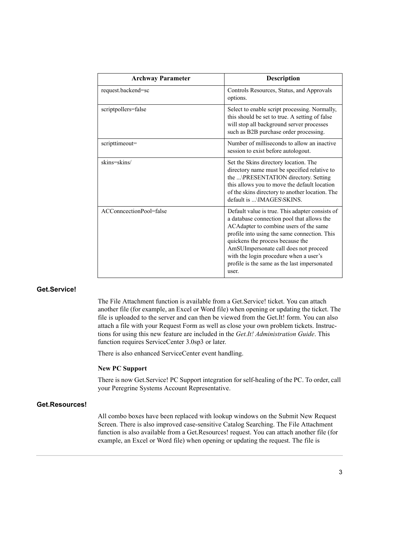<span id="page-6-0"></span>

| <b>Archway Parameter</b> | <b>Description</b>                                                                                                                                                                                                                                                                                                                                                      |
|--------------------------|-------------------------------------------------------------------------------------------------------------------------------------------------------------------------------------------------------------------------------------------------------------------------------------------------------------------------------------------------------------------------|
| request.backend=sc       | Controls Resources, Status, and Approvals<br>options.                                                                                                                                                                                                                                                                                                                   |
| scriptpollers=false      | Select to enable script processing. Normally,<br>this should be set to true. A setting of false<br>will stop all background server processes<br>such as B2B purchase order processing.                                                                                                                                                                                  |
| scripttimeout=           | Number of milliseconds to allow an inactive<br>session to exist before autologout.                                                                                                                                                                                                                                                                                      |
| skins=skins/             | Set the Skins directory location. The<br>directory name must be specified relative to<br>the \PRESENTATION directory. Setting<br>this allows you to move the default location<br>of the skins directory to another location. The<br>default is  \IMAGES\SKINS.                                                                                                          |
| ACConncectionPool=false  | Default value is true. This adapter consists of<br>a database connection pool that allows the<br>ACAdapter to combine users of the same<br>profile into using the same connection. This<br>quickens the process because the<br>AmSUImpersonate call does not proceed<br>with the login procedure when a user's<br>profile is the same as the last impersonated<br>user. |

#### **Get.Service!**

The File Attachment function is available from a Get.Service! ticket. You can attach another file (for example, an Excel or Word file) when opening or updating the ticket. The file is uploaded to the server and can then be viewed from the Get.It! form. You can also attach a file with your Request Form as well as close your own problem tickets. Instructions for using this new feature are included in the *Get.It! Administration Guide*. This function requires ServiceCenter 3.0sp3 or later.

There is also enhanced ServiceCenter event handling.

#### **New PC Support**

There is now Get.Service! PC Support integration for self-healing of the PC. To order, call your Peregrine Systems Account Representative.

#### **Get.Resources!**

All combo boxes have been replaced with lookup windows on the Submit New Request Screen. There is also improved case-sensitive Catalog Searching. The File Attachment function is also available from a Get.Resources! request. You can attach another file (for example, an Excel or Word file) when opening or updating the request. The file is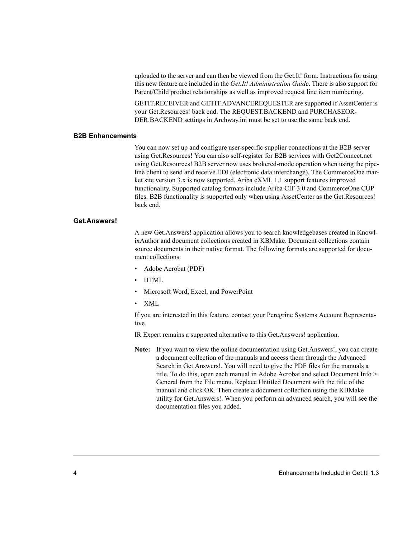uploaded to the server and can then be viewed from the Get.It! form. Instructions for using this new feature are included in the *Get.It! Administration Guide*. There is also support for Parent/Child product relationships as well as improved request line item numbering.

GETIT.RECEIVER and GETIT.ADVANCEREQUESTER are supported if AssetCenter is your Get.Resources! back end. The REQUEST.BACKEND and PURCHASEOR-DER.BACKEND settings in Archway.ini must be set to use the same back end.

#### <span id="page-7-0"></span>**B2B Enhancements**

You can now set up and configure user-specific supplier connections at the B2B server using Get.Resources! You can also self-register for B2B services with Get2Connect.net using Get.Resources! B2B server now uses brokered-mode operation when using the pipeline client to send and receive EDI (electronic data interchange). The CommerceOne market site version 3.x is now supported. Ariba cXML 1.1 support features improved functionality. Supported catalog formats include Ariba CIF 3.0 and CommerceOne CUP files. B2B functionality is supported only when using AssetCenter as the Get.Resources! back end.

#### **Get.Answers!**

A new Get.Answers! application allows you to search knowledgebases created in KnowlixAuthor and document collections created in KBMake. Document collections contain source documents in their native format. The following formats are supported for document collections:

- Adobe Acrobat (PDF)
- HTML
- Microsoft Word, Excel, and PowerPoint
- XML

If you are interested in this feature, contact your Peregrine Systems Account Representative.

IR Expert remains a supported alternative to this Get.Answers! application.

**Note:** If you want to view the online documentation using Get.Answers!, you can create a document collection of the manuals and access them through the Advanced Search in Get.Answers!. You will need to give the PDF files for the manuals a title. To do this, open each manual in Adobe Acrobat and select Document Info > General from the File menu. Replace Untitled Document with the title of the manual and click OK. Then create a document collection using the KBMake utility for Get.Answers!. When you perform an advanced search, you will see the documentation files you added.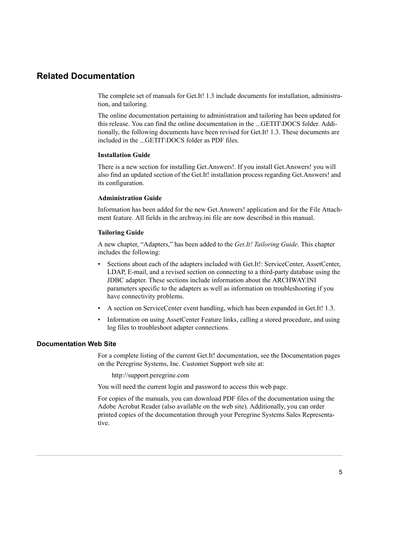## <span id="page-8-0"></span>**Related Documentation**

The complete set of manuals for Get.It! 1.3 include documents for installation, administration, and tailoring.

The online documentation pertaining to administration and tailoring has been updated for this release. You can find the online documentation in the ...GETIT\DOCS folder. Additionally, the following documents have been revised for Get.It! 1.3. These documents are included in the ...GETIT\DOCS folder as PDF files.

#### **Installation Guide**

There is a new section for installing Get.Answers!. If you install Get.Answers! you will also find an updated section of the Get.It! installation process regarding Get.Answers! and its configuration.

#### **Administration Guide**

Information has been added for the new Get.Answers! application and for the File Attachment feature. All fields in the archway.ini file are now described in this manual.

#### **Tailoring Guide**

A new chapter, "Adapters," has been added to the *Get.It! Tailoring Guide*. This chapter includes the following:

- Sections about each of the adapters included with Get.It!: ServiceCenter, AssetCenter, LDAP, E-mail, and a revised section on connecting to a third-party database using the JDBC adapter. These sections include information about the ARCHWAY.INI parameters specific to the adapters as well as information on troubleshooting if you have connectivity problems.
- A section on ServiceCenter event handling, which has been expanded in Get.It! 1.3.
- Information on using AssetCenter Feature links, calling a stored procedure, and using log files to troubleshoot adapter connections.

#### **Documentation Web Site**

For a complete listing of the current Get.It! documentation, see the Documentation pages on the Peregrine Systems, Inc. Customer Support web site at:

http://support.peregrine.com

You will need the current login and password to access this web page.

For copies of the manuals, you can download PDF files of the documentation using the Adobe Acrobat Reader (also available on the web site). Additionally, you can order printed copies of the documentation through your Peregrine Systems Sales Representative.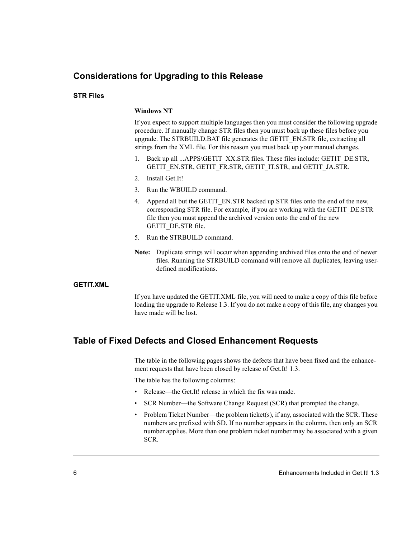# <span id="page-9-0"></span>**Considerations for Upgrading to this Release**

#### **STR Files**

#### **Windows NT**

If you expect to support multiple languages then you must consider the following upgrade procedure. If manually change STR files then you must back up these files before you upgrade. The STRBUILD.BAT file generates the GETIT\_EN.STR file, extracting all strings from the XML file. For this reason you must back up your manual changes.

- 1. Back up all ...APPS\GETIT\_XX.STR files. These files include: GETIT\_DE.STR, GETIT\_EN.STR, GETIT\_FR.STR, GETIT\_IT.STR, and GETIT\_JA.STR.
- 2. Install Get.It!
- 3. Run the WBUILD command.
- 4. Append all but the GETIT\_EN.STR backed up STR files onto the end of the new, corresponding STR file. For example, if you are working with the GETIT\_DE.STR file then you must append the archived version onto the end of the new GETIT\_DE.STR file.
- 5. Run the STRBUILD command.
- **Note:** Duplicate strings will occur when appending archived files onto the end of newer files. Running the STRBUILD command will remove all duplicates, leaving userdefined modifications.

#### **GETIT.XML**

If you have updated the GETIT.XML file, you will need to make a copy of this file before loading the upgrade to Release 1.3. If you do not make a copy of this file, any changes you have made will be lost.

## **Table of Fixed Defects and Closed Enhancement Requests**

The table in the following pages shows the defects that have been fixed and the enhancement requests that have been closed by release of Get.It! 1.3.

The table has the following columns:

- Release—the Get.It! release in which the fix was made.
- SCR Number—the Software Change Request (SCR) that prompted the change.
- Problem Ticket Number—the problem ticket(s), if any, associated with the SCR. These numbers are prefixed with SD. If no number appears in the column, then only an SCR number applies. More than one problem ticket number may be associated with a given SCR.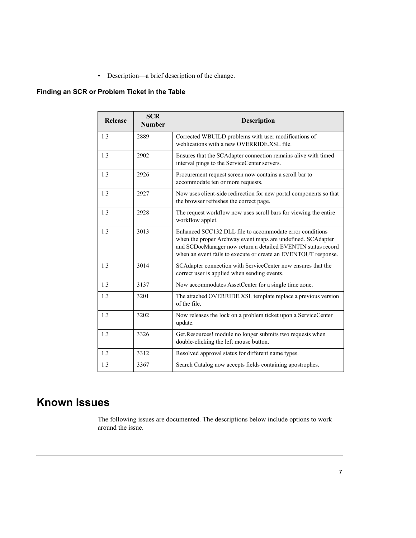• Description—a brief description of the change.

## <span id="page-10-0"></span>**Finding an SCR or Problem Ticket in the Table**

| <b>Release</b> | <b>SCR</b><br><b>Number</b> | <b>Description</b>                                                                                                                                                                                                                                        |
|----------------|-----------------------------|-----------------------------------------------------------------------------------------------------------------------------------------------------------------------------------------------------------------------------------------------------------|
| 1.3            | 2889                        | Corrected WBUILD problems with user modifications of<br>weblications with a new OVERRIDE.XSL file.                                                                                                                                                        |
| 1.3            | 2902                        | Ensures that the SCAdapter connection remains alive with timed<br>interval pings to the ServiceCenter servers.                                                                                                                                            |
| 1.3            | 2926                        | Procurement request screen now contains a scroll bar to<br>accommodate ten or more requests.                                                                                                                                                              |
| 1.3            | 2927                        | Now uses client-side redirection for new portal components so that<br>the browser refreshes the correct page.                                                                                                                                             |
| 1.3            | 2928                        | The request workflow now uses scroll bars for viewing the entire<br>workflow applet.                                                                                                                                                                      |
| 1.3            | 3013                        | Enhanced SCC132.DLL file to accommodate error conditions<br>when the proper Archway event maps are undefined. SCAdapter<br>and SCDocManager now return a detailed EVENTIN status record<br>when an event fails to execute or create an EVENTOUT response. |
| 1.3            | 3014                        | SCAdapter connection with ServiceCenter now ensures that the<br>correct user is applied when sending events.                                                                                                                                              |
| 1.3            | 3137                        | Now accommodates AssetCenter for a single time zone.                                                                                                                                                                                                      |
| 1.3            | 3201                        | The attached OVERRIDE.XSL template replace a previous version<br>of the file.                                                                                                                                                                             |
| 1.3            | 3202                        | Now releases the lock on a problem ticket upon a ServiceCenter<br>update.                                                                                                                                                                                 |
| 1.3            | 3326                        | Get.Resources! module no longer submits two requests when<br>double-clicking the left mouse button.                                                                                                                                                       |
| 1.3            | 3312                        | Resolved approval status for different name types.                                                                                                                                                                                                        |
| 1.3            | 3367                        | Search Catalog now accepts fields containing apostrophes.                                                                                                                                                                                                 |

# **Known Issues**

The following issues are documented. The descriptions below include options to work around the issue.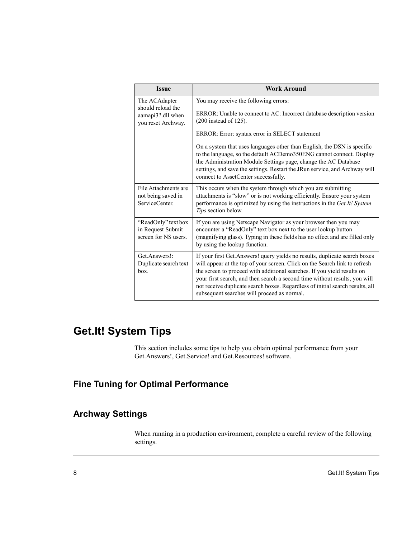<span id="page-11-0"></span>

| <b>Issue</b>                                                                  | <b>Work Around</b>                                                                                                                                                                                                                                                                                                                                                                                                                                 |
|-------------------------------------------------------------------------------|----------------------------------------------------------------------------------------------------------------------------------------------------------------------------------------------------------------------------------------------------------------------------------------------------------------------------------------------------------------------------------------------------------------------------------------------------|
| The ACAdapter<br>should reload the<br>aamapi3?.dll when<br>you reset Archway. | You may receive the following errors:                                                                                                                                                                                                                                                                                                                                                                                                              |
|                                                                               | ERROR: Unable to connect to AC: Incorrect database description version<br>$(200$ instead of 125).                                                                                                                                                                                                                                                                                                                                                  |
|                                                                               | ERROR: Error: syntax error in SELECT statement                                                                                                                                                                                                                                                                                                                                                                                                     |
|                                                                               | On a system that uses languages other than English, the DSN is specific<br>to the language, so the default ACDemo350ENG cannot connect. Display<br>the Administration Module Settings page, change the AC Database<br>settings, and save the settings. Restart the JRun service, and Archway will<br>connect to AssetCenter successfully.                                                                                                          |
| File Attachments are<br>not being saved in<br>ServiceCenter.                  | This occurs when the system through which you are submitting<br>attachments is "slow" or is not working efficiently. Ensure your system<br>performance is optimized by using the instructions in the Get. It! System<br>Tips section below.                                                                                                                                                                                                        |
| "ReadOnly" text box<br>in Request Submit<br>screen for NS users.              | If you are using Netscape Navigator as your browser then you may<br>encounter a "ReadOnly" text box next to the user lookup button<br>(magnifying glass). Typing in these fields has no effect and are filled only<br>by using the lookup function.                                                                                                                                                                                                |
| Get.Answers!:<br>Duplicate search text<br>box <sub>1</sub>                    | If your first Get. Answers! query yields no results, duplicate search boxes<br>will appear at the top of your screen. Click on the Search link to refresh<br>the screen to proceed with additional searches. If you yield results on<br>your first search, and then search a second time without results, you will<br>not receive duplicate search boxes. Regardless of initial search results, all<br>subsequent searches will proceed as normal. |

# **Get.It! System Tips**

This section includes some tips to help you obtain optimal performance from your Get.Answers!, Get.Service! and Get.Resources! software.

# **Fine Tuning for Optimal Performance**

# **Archway Settings**

When running in a production environment, complete a careful review of the following settings.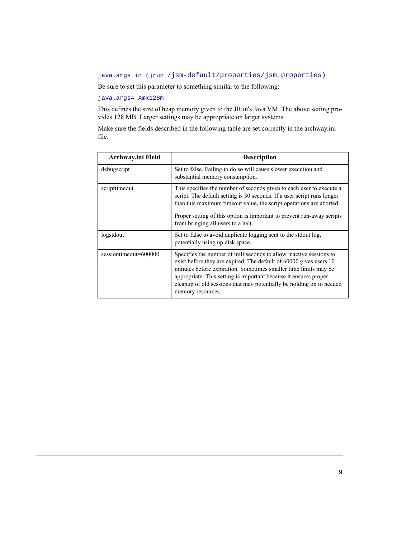#### java.args in (jrun /jsm-default/properties/jsm.properties)

Be sure to set this parameter to something similar to the following:

#### java.args=-Xmx128m

This defines the size of heap memory given to the JRun's Java VM. The above setting provides 128 MB. Larger settings may be appropriate on larger systems.

Make sure the fields described in the following table are set correctly in the archway.ini file.

| Archway.ini Field     | <b>Description</b>                                                                                                                                                                                                                                                                                                                                                           |
|-----------------------|------------------------------------------------------------------------------------------------------------------------------------------------------------------------------------------------------------------------------------------------------------------------------------------------------------------------------------------------------------------------------|
| debugscript           | Set to false. Failing to do so will cause slower execution and<br>substantial memory consumption.                                                                                                                                                                                                                                                                            |
| scripttimeout         | This specifies the number of seconds given to each user to execute a<br>script. The default setting is 30 seconds. If a user script runs longer<br>than this maximum timeout value, the script operations are aborted.<br>Proper setting of this option is important to prevent run-away scripts<br>from bringing all users to a halt.                                       |
| logstdout             | Set to false to avoid duplicate logging sent to the stdout log.<br>potentially using up disk space.                                                                                                                                                                                                                                                                          |
| sessiontimeout=600000 | Specifies the number of milliseconds to allow inactive sessions to<br>exist before they are expired. The default of 60000 gives users 10<br>minutes before expiration. Sometimes smaller time limits may be<br>appropriate. This setting is important because it ensures proper<br>cleanup of old sessions that may potentially be holding on to needed<br>memory resources. |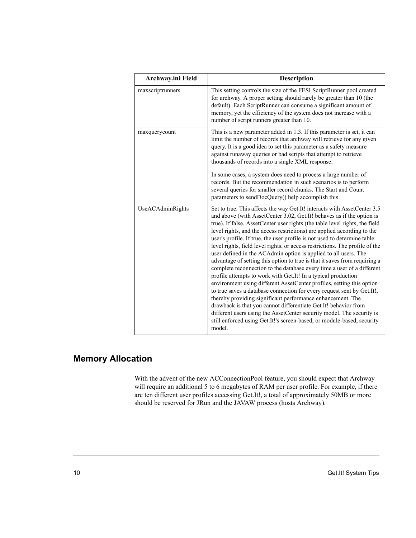<span id="page-13-0"></span>

| Archway.ini Field | <b>Description</b>                                                                                                                                                                                                                                                                                                                                                                                                                                                                                                                                                                                                                                                                                                                                                                                                                                                                                                                                                                                                                                                                                                                                                                                                    |
|-------------------|-----------------------------------------------------------------------------------------------------------------------------------------------------------------------------------------------------------------------------------------------------------------------------------------------------------------------------------------------------------------------------------------------------------------------------------------------------------------------------------------------------------------------------------------------------------------------------------------------------------------------------------------------------------------------------------------------------------------------------------------------------------------------------------------------------------------------------------------------------------------------------------------------------------------------------------------------------------------------------------------------------------------------------------------------------------------------------------------------------------------------------------------------------------------------------------------------------------------------|
| maxscriptrunners  | This setting controls the size of the FESI ScriptRunner pool created<br>for archway. A proper setting should rarely be greater than 10 (the<br>default). Each ScriptRunner can consume a significant amount of<br>memory, yet the efficiency of the system does not increase with a<br>number of script runners greater than 10.                                                                                                                                                                                                                                                                                                                                                                                                                                                                                                                                                                                                                                                                                                                                                                                                                                                                                      |
| maxquerycount     | This is a new parameter added in 1.3. If this parameter is set, it can<br>limit the number of records that archway will retrieve for any given<br>query. It is a good idea to set this parameter as a safety measure<br>against runaway queries or bad scripts that attempt to retrieve<br>thousands of records into a single XML response.                                                                                                                                                                                                                                                                                                                                                                                                                                                                                                                                                                                                                                                                                                                                                                                                                                                                           |
|                   | In some cases, a system does need to process a large number of<br>records. But the recommendation in such scenarios is to perform<br>several queries for smaller record chunks. The Start and Count<br>parameters to sendDocQuery() help accomplish this.                                                                                                                                                                                                                                                                                                                                                                                                                                                                                                                                                                                                                                                                                                                                                                                                                                                                                                                                                             |
| UseACAdminRights  | Set to true. This affects the way Get.It! interacts with AssetCenter 3.5<br>and above (with AssetCenter 3.02, Get.It! behaves as if the option is<br>true). If false, AssetCenter user rights (the table level rights, the field<br>level rights, and the access restrictions) are applied according to the<br>user's profile. If true, the user profile is not used to determine table<br>level rights, field level rights, or access restrictions. The profile of the<br>user defined in the ACAdmin option is applied to all users. The<br>advantage of setting this option to true is that it saves from requiring a<br>complete reconnection to the database every time a user of a different<br>profile attempts to work with Get.It! In a typical production<br>environment using different AssetCenter profiles, setting this option<br>to true saves a database connection for every request sent by Get. It!,<br>thereby providing significant performance enhancement. The<br>drawback is that you cannot differentiate Get.It! behavior from<br>different users using the AssetCenter security model. The security is<br>still enforced using Get.It!'s screen-based, or module-based, security<br>model. |

# **Memory Allocation**

With the advent of the new ACConnectionPool feature, you should expect that Archway will require an additional 5 to 6 megabytes of RAM per user profile. For example, if there are ten different user profiles accessing Get.It!, a total of approximately 50MB or more should be reserved for JRun and the JAVAW process (hosts Archway).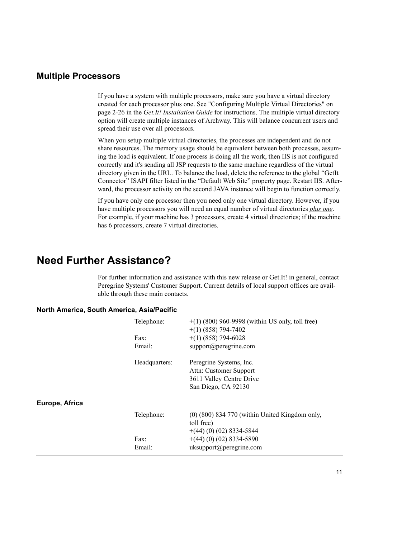## <span id="page-14-0"></span>**Multiple Processors**

If you have a system with multiple processors, make sure you have a virtual directory created for each processor plus one. See "Configuring Multiple Virtual Directories" on page 2-26 in the *Get.It! Installation Guide* for instructions. The multiple virtual directory option will create multiple instances of Archway. This will balance concurrent users and spread their use over all processors.

When you setup multiple virtual directories, the processes are independent and do not share resources. The memory usage should be equivalent between both processes, assuming the load is equivalent. If one process is doing all the work, then IIS is not configured correctly and it's sending all JSP requests to the same machine regardless of the virtual directory given in the URL. To balance the load, delete the reference to the global "GetIt Connector" ISAPI filter listed in the "Default Web Site" property page. Restart IIS. Afterward, the processor activity on the second JAVA instance will begin to function correctly.

If you have only one processor then you need only one virtual directory. However, if you have multiple processors you will need an equal number of virtual directories *plus one*. For example, if your machine has 3 processors, create 4 virtual directories; if the machine has 6 processors, create 7 virtual directories.

# **Need Further Assistance?**

For further information and assistance with this new release or Get.It! in general, contact Peregrine Systems' Customer Support. Current details of local support offices are available through these main contacts.

#### **North America, South America, Asia/Pacific**

|                | Telephone:    | $+(1)$ (800) 960-9998 (within US only, toll free)<br>$+(1)$ (858) 794-7402 |
|----------------|---------------|----------------------------------------------------------------------------|
|                | Fax:          | $+(1)$ (858) 794-6028                                                      |
|                | Email:        | $support(\widehat{a})$ peregrine.com                                       |
|                | Headquarters: | Peregrine Systems, Inc.                                                    |
|                |               | Attn: Customer Support                                                     |
|                |               | 3611 Valley Centre Drive                                                   |
|                |               | San Diego, CA 92130                                                        |
| Europe, Africa |               |                                                                            |
|                | Telephone:    | $(0)$ (800) 834 770 (within United Kingdom only,<br>toll free)             |
|                |               | $+(44)(0)(02)8334-5844$                                                    |
|                | $\text{Fax}:$ | $+(44)(0)(02)$ 8334-5890                                                   |
|                | Email:        | uk support@peregrine.com                                                   |